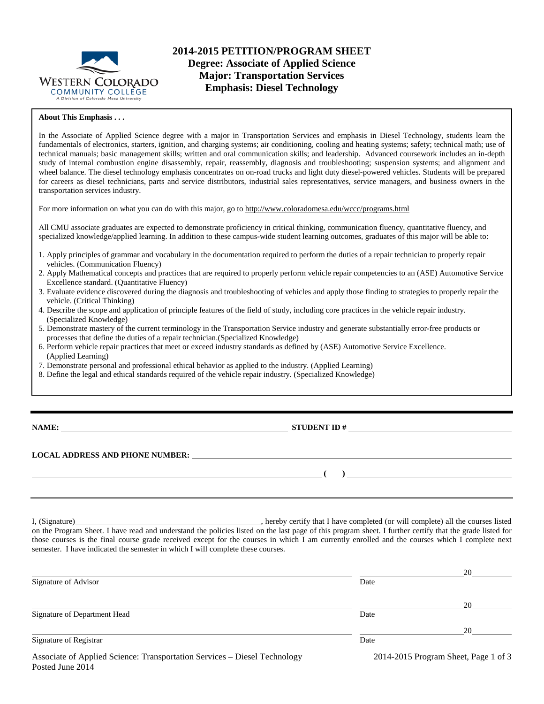

#### **About This Emphasis . . .**

In the Associate of Applied Science degree with a major in Transportation Services and emphasis in Diesel Technology, students learn the fundamentals of electronics, starters, ignition, and charging systems; air conditioning, cooling and heating systems; safety; technical math; use of technical manuals; basic management skills; written and oral communication skills; and leadership. Advanced coursework includes an in-depth study of internal combustion engine disassembly, repair, reassembly, diagnosis and troubleshooting; suspension systems; and alignment and wheel balance. The diesel technology emphasis concentrates on on-road trucks and light duty diesel-powered vehicles. Students will be prepared for careers as diesel technicians, parts and service distributors, industrial sales representatives, service managers, and business owners in the transportation services industry.

For more information on what you can do with this major, go to http://www.coloradomesa.edu/wccc/programs.html

All CMU associate graduates are expected to demonstrate proficiency in critical thinking, communication fluency, quantitative fluency, and specialized knowledge/applied learning. In addition to these campus-wide student learning outcomes, graduates of this major will be able to:

- 1. Apply principles of grammar and vocabulary in the documentation required to perform the duties of a repair technician to properly repair vehicles. (Communication Fluency)
- 2. Apply Mathematical concepts and practices that are required to properly perform vehicle repair competencies to an (ASE) Automotive Service Excellence standard. (Quantitative Fluency)
- 3. Evaluate evidence discovered during the diagnosis and troubleshooting of vehicles and apply those finding to strategies to properly repair the vehicle. (Critical Thinking)
- 4. Describe the scope and application of principle features of the field of study, including core practices in the vehicle repair industry. (Specialized Knowledge)
- 5. Demonstrate mastery of the current terminology in the Transportation Service industry and generate substantially error-free products or processes that define the duties of a repair technician.(Specialized Knowledge)
- 6. Perform vehicle repair practices that meet or exceed industry standards as defined by (ASE) Automotive Service Excellence. (Applied Learning)
- 7. Demonstrate personal and professional ethical behavior as applied to the industry. (Applied Learning)
- 8. Define the legal and ethical standards required of the vehicle repair industry. (Specialized Knowledge)

| ۱A | MI<br>L. |
|----|----------|
|----|----------|

Posted June 2014

**STUDENT ID #** 

**( )** 

## **LOCAL ADDRESS AND PHONE NUMBER:**

I, (Signature) **Source 2008** (Signature) **, hereby certify that I have completed** (or will complete) all the courses listed on the Program Sheet. I have read and understand the policies listed on the last page of this program sheet. I further certify that the grade listed for those courses is the final course grade received except for the courses in which I am currently enrolled and the courses which I complete next semester. I have indicated the semester in which I will complete these courses.

|                                                                           |      | 20                                   |
|---------------------------------------------------------------------------|------|--------------------------------------|
| Signature of Advisor                                                      | Date |                                      |
|                                                                           |      | 20                                   |
| Signature of Department Head                                              | Date |                                      |
|                                                                           |      | 20                                   |
| Signature of Registrar                                                    | Date |                                      |
| Associate of Applied Science: Transportation Services – Diesel Technology |      | 2014-2015 Program Sheet, Page 1 of 3 |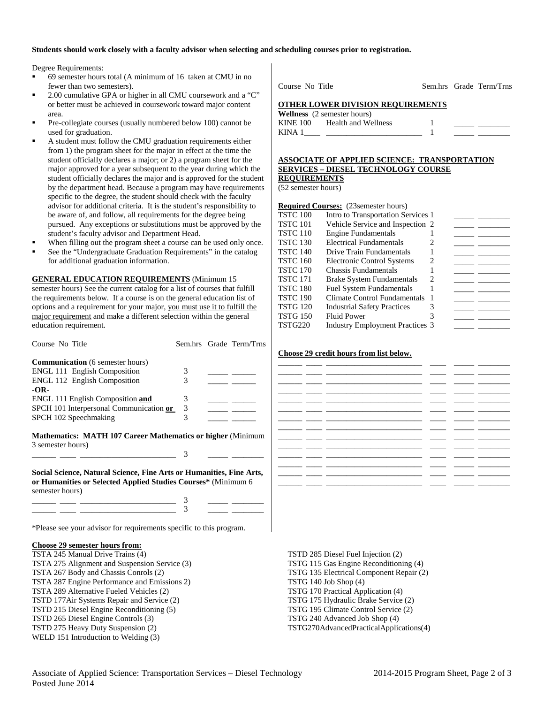### **Students should work closely with a faculty advisor when selecting and scheduling courses prior to registration.**

Degree Requirements:

- 69 semester hours total (A minimum of 16 taken at CMU in no fewer than two semesters).
- 2.00 cumulative GPA or higher in all CMU coursework and a "C" or better must be achieved in coursework toward major content area.
- Pre-collegiate courses (usually numbered below 100) cannot be used for graduation.
- A student must follow the CMU graduation requirements either from 1) the program sheet for the major in effect at the time the student officially declares a major; or 2) a program sheet for the major approved for a year subsequent to the year during which the student officially declares the major and is approved for the student by the department head. Because a program may have requirements specific to the degree, the student should check with the faculty advisor for additional criteria. It is the student's responsibility to be aware of, and follow, all requirements for the degree being pursued. Any exceptions or substitutions must be approved by the student's faculty advisor and Department Head.
- When filling out the program sheet a course can be used only once.
- See the "Undergraduate Graduation Requirements" in the catalog for additional graduation information.

**GENERAL EDUCATION REQUIREMENTS** (Minimum 15 semester hours) See the current catalog for a list of courses that fulfill the requirements below. If a course is on the general education list of options and a requirement for your major, you must use it to fulfill the major requirement and make a different selection within the general education requirement.

| Course No Title                                                                                                                                           |   | Sem.hrs Grade Term/Trns                                             |
|-----------------------------------------------------------------------------------------------------------------------------------------------------------|---|---------------------------------------------------------------------|
| <b>Communication</b> (6 semester hours)                                                                                                                   |   |                                                                     |
| <b>ENGL 111 English Composition</b>                                                                                                                       | 3 |                                                                     |
| <b>ENGL 112 English Composition</b>                                                                                                                       | 3 |                                                                     |
| $-OR-$                                                                                                                                                    |   |                                                                     |
| <b>ENGL 111 English Composition and</b>                                                                                                                   | 3 |                                                                     |
| SPCH 101 Interpersonal Communication or                                                                                                                   | 3 |                                                                     |
| SPCH 102 Speechmaking                                                                                                                                     | 3 |                                                                     |
| Mathematics: MATH 107 Career Mathematics or higher (Minimum<br>3 semester hours)                                                                          | 3 |                                                                     |
| Social Science, Natural Science, Fine Arts or Humanities, Fine Arts,<br>or Humanities or Selected Applied Studies Courses* (Minimum 6)<br>semester hours) |   |                                                                     |
|                                                                                                                                                           |   | $\frac{1}{2}$ and $\frac{1}{2}$ and $\frac{1}{2}$ and $\frac{1}{2}$ |
|                                                                                                                                                           |   |                                                                     |
| *Please see your advisor for requirements specific to this program.                                                                                       |   |                                                                     |

### **Choose 29 semester hours from:**

TSTA 245 Manual Drive Trains (4) TSTA 275 Alignment and Suspension Service (3) TSTA 267 Body and Chassis Conrols (2) TSTA 287 Engine Performance and Emissions 2) TSTA 289 Alternative Fueled Vehicles (2) TSTD 177Air Systems Repair and Service (2) TSTD 215 Diesel Engine Reconditioning (5) TSTD 265 Diesel Engine Controls (3) TSTD 275 Heavy Duty Suspension (2) WELD 151 Introduction to Welding (3)

Course No Title Sem.hrs Grade Term/Trns

#### **OTHER LOWER DIVISION REQUIREMENTS**

**Wellness** (2 semester hours) KINE 100 Health and Wellness 1 KINA  $1 \qquad \qquad$   $1 \qquad \qquad$ 

#### **ASSOCIATE OF APPLIED SCIENCE: TRANSPORTATION SERVICES – DIESEL TECHNOLOGY COURSE REQUIREMENTS**

(52 semester hours)

# **Required Courses:** (23semester hours)

| TSTC 100 | Intro to Transportation Services 1     |   |  |
|----------|----------------------------------------|---|--|
| TSTC 101 | Vehicle Service and Inspection 2       |   |  |
| TSTC 110 | <b>Engine Fundamentals</b>             |   |  |
| TSTC 130 | Electrical Fundamentals                | 2 |  |
| TSTC 140 | Drive Train Fundamentals               |   |  |
| TSTC 160 | <b>Electronic Control Systems</b>      | 2 |  |
| TSTC 170 | Chassis Fundamentals                   |   |  |
| TSTC 171 | Brake System Fundamentals              | 2 |  |
| TSTC 180 | <b>Fuel System Fundamentals</b>        |   |  |
| TSTC 190 | Climate Control Fundamentals           |   |  |
| TSTG 120 | <b>Industrial Safety Practices</b>     | 3 |  |
| TSTG 150 | <b>Fluid Power</b>                     | 3 |  |
| TSTG220  | <b>Industry Employment Practices 3</b> |   |  |
|          |                                        |   |  |

#### **Choose 29 credit hours from list below.**

TSTD 285 Diesel Fuel Injection (2) TSTG 115 Gas Engine Reconditioning (4) TSTG 135 Electrical Component Repair (2) TSTG 140 Job Shop (4) TSTG 170 Practical Application (4) TSTG 175 Hydraulic Brake Service (2) TSTG 195 Climate Control Service (2) TSTG 240 Advanced Job Shop (4) TSTG270AdvancedPracticalApplications(4)